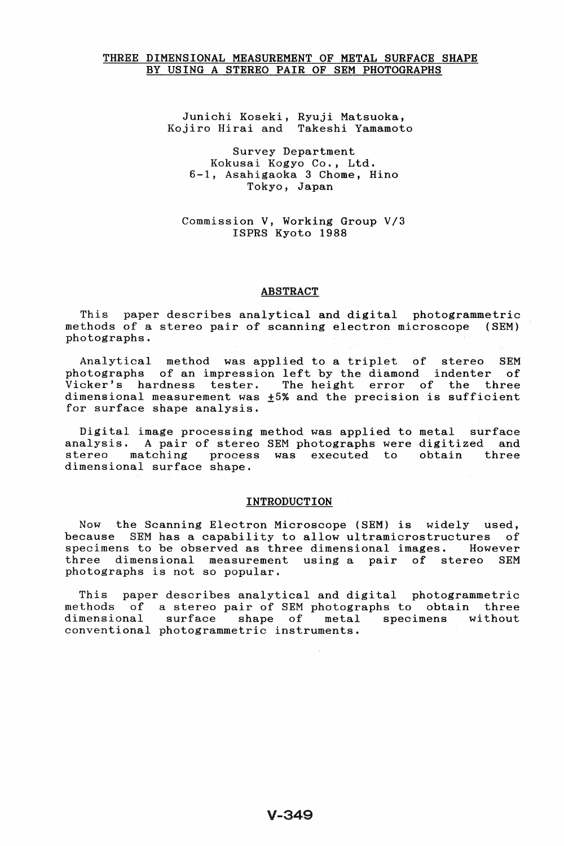## THREE DIMENSIONAL MEASUREMENT OF METAL SURFACE SHAPE BY USING A STEREO PAIR OF SEM PHOTOGRAPHS

Junichi Koseki, Ryuji Matsuoka, Kojiro Hirai and Takeshi Yamamoto

## Survey Department Kokusai Kogyo Co., Ltd. 6-1, Asahigaoka 3 Chome, Hino Tokyo, Japan

### Commission V, Working Group *V/3*  ISPRS Kyoto 1988

### ABSTRACT

This paper describes analytical and digital photogrammetric methods of a stereo pair of scanning electron microscope (SEM) photographs.

Analytical method was applied to a triplet of stereo SEM photographs of an impression left by the diamond indenter Vicker's hardness tester. The height error of the three dimensional measurement was  $\pm 5%$  and the precision is sufficient for surface shape analysis.

Digital image processing method was applied to metal surface<br>analysis. A pair of stereo SEM photographs were digitized and analysis. A pair of stereo SEM photographs were digitized and stereo matching process was executed to obtain three process was executed to dimensional surface shape.

#### INTRODUCTION

Now the Scanning Electron Microscope (SEM) is widely used, because SEM has a capability to allow ultramicrostructures of specimens to be observed as three dimensional images. However specimens to be observed as three dimensional images. three dimensional measurement using a pair of stereo SEM photographs is not so popular.

This paper describes analytical and digital photogrammetric methods of a stereo pair of SEM photographs to obtain three<br>dimensional surface shape of metal specimens without surface shape of metal specimens without conventional photogrammetric instruments.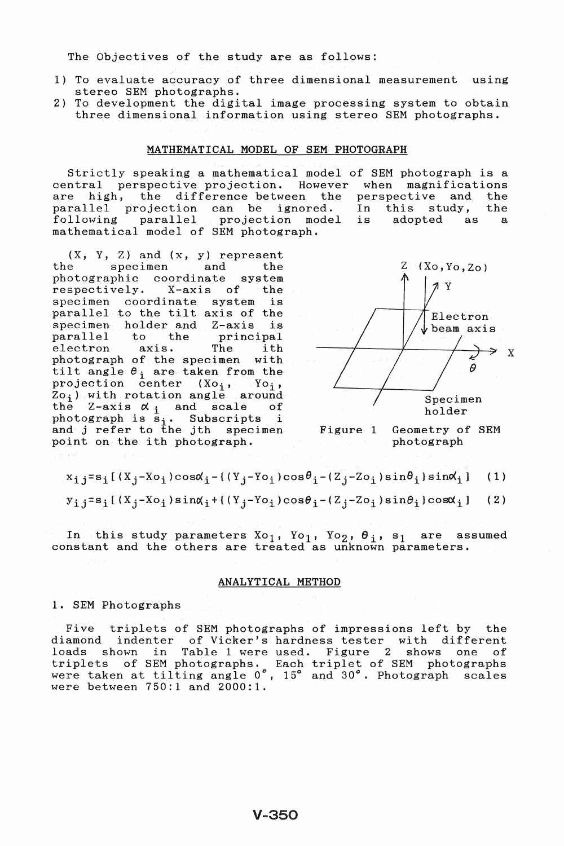The Objectives of the study are as follows:

- 1) To evaluate accuracy of three dimensional measurement using stereo SEM photographs.
- 2) To development the digital image processing system to obtain three dimensional information using stereo SEM photographs.

#### MATHEMATICAL MODEL OF SEM PHOTOGRAPH

strictly speaking a mathematical model of SEM photograph is a central perspective projection. However when magnifications<br>are high, the difference between the perspective and the are high, the difference-between the perspective and parallel projection can be ignored. In this study, parallel projection can be ignored. In this study, the paraffect projection can be ignored. In this stady, the<br>following parallel projection model is adopted as a following parallel projection model<br>mathematical model of SEM photograph.

 $(X, Y, Z)$  and  $(x, y)$  represent<br>the specimen and the specimen and the<br>phic coordinate system photographic coordinate system<br>respectively. X-axis of the respectively. specimen coordinate system is parallel to the tilt axis of the<br>specimen holder and Z-axis is specimen holder and Z-axis<br>parallel to the princi parallel to the principal<br>electron axis. The ith electron axis. The ith photograph of the specimen with<br>tilt angle  $\theta_i$  are taken from the projection center  $(Xo_i, Yo_i)$ ,  $Zo_j$ ) with rotation angle around the Z-axis  $\alpha_i$  and scale of photograph is  $s_i$ . Subscripts i and j refer to the jth specimenpoint on the ith photograph.



Figure 1 Geometry of SEM photograph

 $x_{i,j}=s_i$ [(X<sub>j</sub>-Xo<sub>i</sub>)cos $\alpha_{i}$ -{(Y<sub>j</sub>-Yo<sub>i</sub>)cos $\theta_{i}$ -(Z<sub>j</sub>-Zo<sub>i</sub>)sin $\theta_{i}$ }sin $\alpha_{i}$ ] (1)

 $y_{i,j}=s_i[(X_j-Xo_i)\sin\alpha_i+((Y_j-Yo_i)\cos\theta_i-(Z_j-Zo_i)\sin\theta_i)\cos\alpha_i]$  (2)

In this study parameters  $Xo_1$ ,  $Yo_1$ ,  $Yo_2$ ,  $θ_1$ , s<sub>1</sub> are assumed constant and the others are treated as unknown parameters.

### ANALYTICAL METHOD

1. SEM Photographs

Five triplets of SEM photographs of impressions left by the diamond indenter of Vicker's hardness tester with different loads shown in Table 1 were used. Figure 2 shows one of triplets of SEM photographs. Each triplet of SEM photographs were taken at tilting angle 0°, 15° and 30°. Photograph scales were between 750:1 and 2000:1.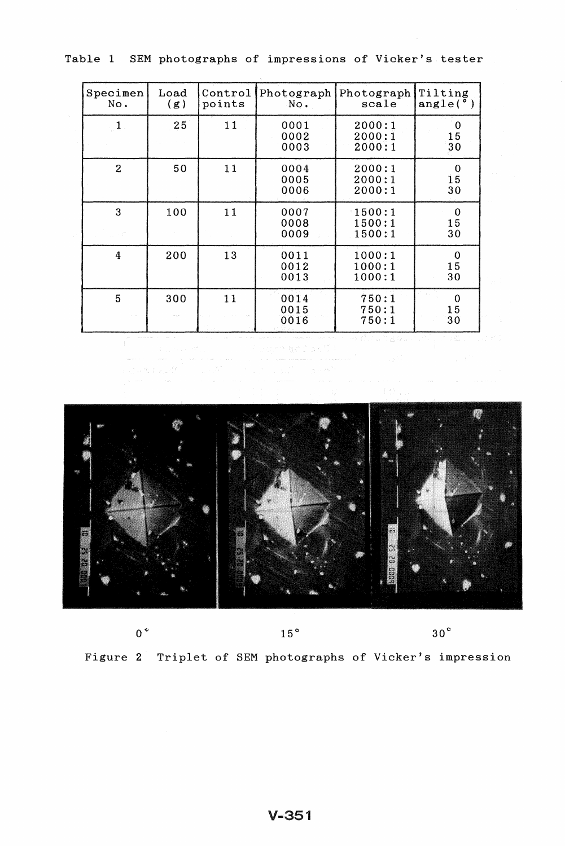|  | Table 1 SEM photographs of impressions of Vicker's tester |  |  |  |
|--|-----------------------------------------------------------|--|--|--|
|  |                                                           |  |  |  |

 $\lambda$ 

| Specimen<br>No.  | $_{\rm Load}$<br>(g) | Control<br>points | Photograph<br>No.    | Photograph<br>scale        | Tilting<br>angle(°)     |
|------------------|----------------------|-------------------|----------------------|----------------------------|-------------------------|
| $\mathbf{1}$     | 25 <sub>2</sub>      | 11                | 0001<br>0002<br>0003 | 2000:1<br>2000:1<br>2000:1 | 0<br>15<br>30           |
| $\overline{2}$   | 50                   | 11                | 0004<br>0005<br>0006 | 2000:1<br>2000:1<br>2000:1 | $\mathbf 0$<br>15<br>30 |
| 3                | 100                  | 11                | 0007<br>0008<br>0009 | 1500:1<br>1500:1<br>1500:1 | $\mathbf 0$<br>15<br>30 |
| $\boldsymbol{4}$ | 200                  | 13                | 0011<br>0012<br>0013 | 1000:1<br>1000:1<br>1000:1 | $\mathbf 0$<br>15<br>30 |
| 5                | 300                  | 11                | 0014<br>0015<br>0016 | 750:1<br>750:1<br>750:1    | $\mathbf 0$<br>15<br>30 |



 $0^{\circ}$ 

 $15\,^{\circ}$ 

 $30^{\circ}$ 

Figure 2 Triplet of SEM photographs of Vicker's impression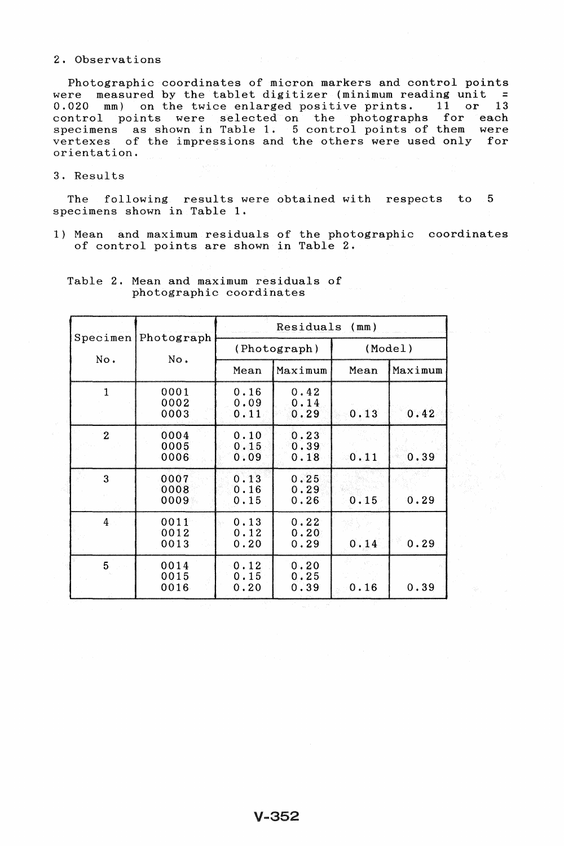### 2. Observations

Photographic coordinates of micron markers and control points were measured by the tablet digitizer (minimum reading unit  $=$ 0.020 mm) on the twice enlarged positive prints. 11 or 13 control points were selected on the photographs for each specimens as shown in Table 1. 5 control points of them were vertexes of the impressions and the others were used only for orientation.

### 3. Results

The following results were obtained with respects to 5 specimens shown in Table 1.

1) Mean and maximum residuals of the photographic coordinates of control points are shown in Table 2.

| Specimen       | Photograph           | Residuals<br>(mm)    |                      |         |         |  |
|----------------|----------------------|----------------------|----------------------|---------|---------|--|
| No.            | No.                  |                      | (Photograph)         | (Model) |         |  |
|                |                      | Mean                 | Maximum              | Mean    | Maximum |  |
| $\mathbf{1}$   | 0001<br>0002<br>0003 | 0.16<br>0.09<br>0.11 | 0.42<br>0.14<br>0.29 | 0.13    | 0.42    |  |
| $\overline{2}$ | 0004<br>0005<br>0006 | 0.10<br>0.15<br>0.09 | 0.23<br>0.39<br>0.18 | 0.11    | 0.39    |  |
| 3              | 0007<br>0008<br>0009 | 0.13<br>0.16<br>0.15 | 0.25<br>0.29<br>0.26 | 0.15    | 0.29    |  |
| 4 <sup>1</sup> | 0011<br>0012<br>0013 | 0.13<br>0.12<br>0.20 | 0.22<br>0.20<br>0.29 | 0.14    | 0.29    |  |
| 5              | 0014<br>0015<br>0016 | 0.12<br>0.15<br>0.20 | 0.20<br>0.25<br>0.39 | 0.16    | 0.39    |  |

Table 2. Mean and maximum residuals of photographic coordinates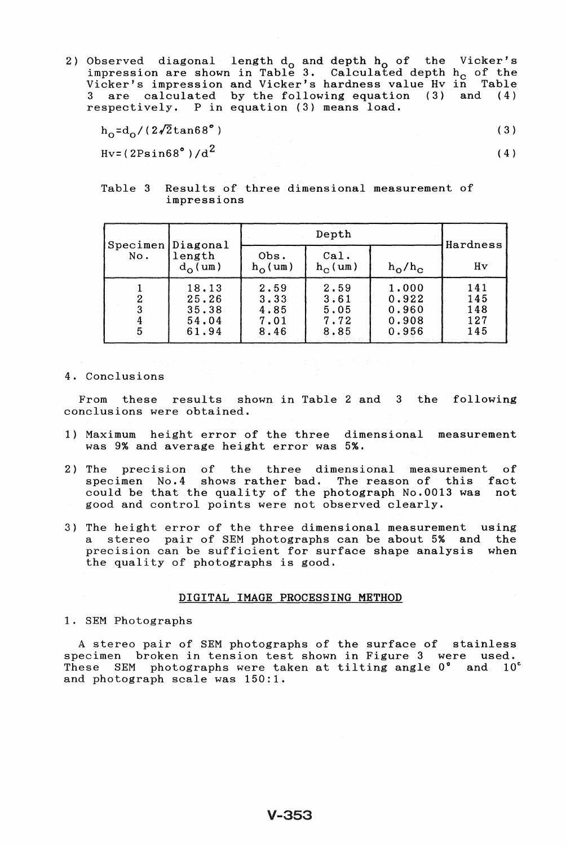2) Observed diagonal length  $d_0$  and depth  $h_0$  of the impression are shown in Table **3.** Calculated depth Vicker's impression and Vicker's hardness value Hv in Table are calculated by the following equation (3) respectively. P in equation (3) means load. Vicker's h<sub>c</sub> of the and (4)

| $h_0 = d_0 / (2\sqrt{2} \tan 68^\circ)$ |  | (3) |
|-----------------------------------------|--|-----|
| $Hv = (2Psin68°)/d^2$                   |  | (4) |

# Table 3 Results of three dimensional measurement of impressions

|        | Specimen Diagonal                         |                                      | Hardness                             |                                           |                                 |  |
|--------|-------------------------------------------|--------------------------------------|--------------------------------------|-------------------------------------------|---------------------------------|--|
| No.    | length<br>$d_{\Omega}$ (um)               | Obs.<br>$h_0$ (um)                   | ca1.<br>$h_{\Omega}$ (um)            | $h_{\rm O}/h_{\rm C}$                     | Hv                              |  |
| າ<br>5 | 18.13<br>25.26<br>35.38<br>54.04<br>61.94 | 2.59<br>3.33<br>4.85<br>7.01<br>8.46 | 2.59<br>3.61<br>5,05<br>7.72<br>8.85 | 1,000<br>0.922<br>0.960<br>0.908<br>0.956 | 141<br>145<br>148<br>127<br>145 |  |

4. Conclusions

From these results shown in Table 2 and 3 the following conclusions were obtained.

- 1) Maximum height error of the three dimensional measurement was 9% and average height error was 5%.
- 2) The precision of the three dimensional measurement of specimen No.4 shows rather bad. The reason of this fact could be that the quality of the photograph No.0013 was not good and control points were not observed clearly.
- 3) The height error of the three dimensional measurement using a stereo pair of SEM photographs can be about 5% and the precision can be sufficient for surface shape analysis when the quality of photographs is good.

# DIGITAL IMAGE PROCESSING METHOD

## 1. SEM Photographs

A stereo pair of SEM photographs of the surface of stainless specimen broken in tension test shown in Figure 3 were used. These SEM photographs were taken at tilting angle 0° and 10° and photograph scale was 150:1.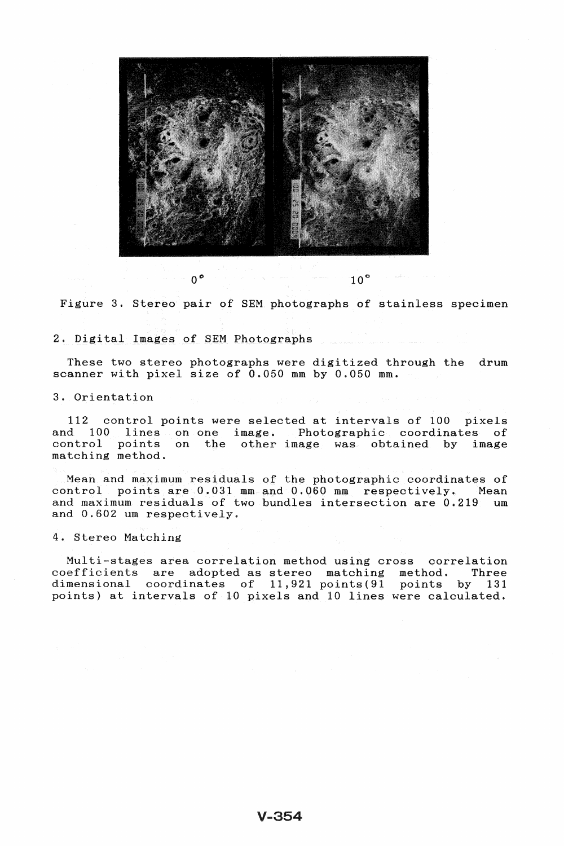

Figure 3. Stereo pair of SEM photographs of stainless specimen

2. Digital Images of SEM Photographs

These two stereo photographs were digitized through the drum scanner with pixel size of 0.050 mm by 0.050 mm.

3. Orientation

112 control points were selected at intervals of 100 pixels and 100 lines on one image. Photographic coordinates of control points on the other image was obtained by image matching method.

Mean and maximum residuals of the photographic coordinates of control points are 0.031 mm and 0.060 mm respectively. Mean and maximum residuals of two bundles intersection are 0.219 um and 0.602 um respectively.

4. Stereo Matching

Multi-stages area correlation method using cross correlation coefficients are adopted as stereo matching method. Three dimensional coordinates of 11,921 points(91 points by 131 points) at intervals of 10 pixels and 10 lines were calculated.